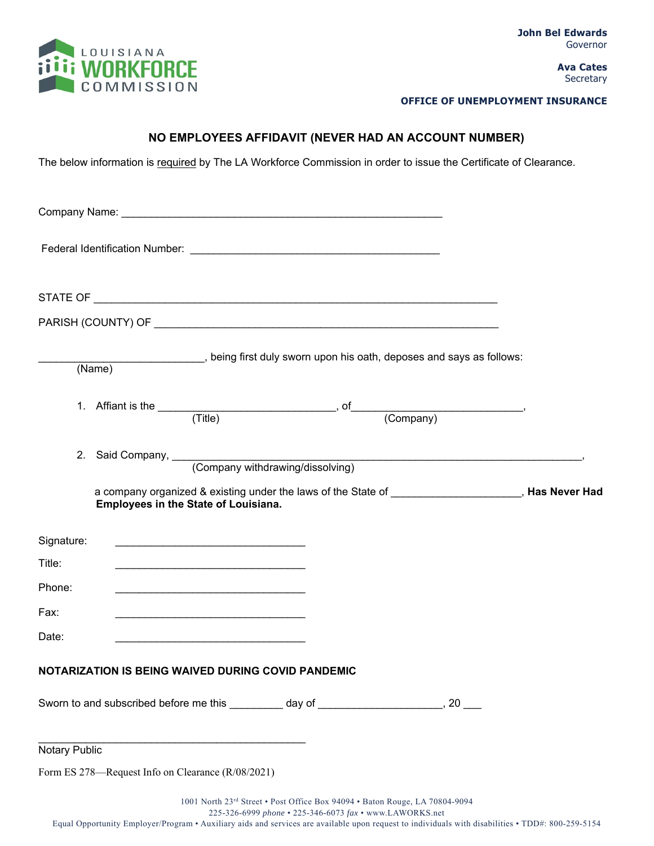

## **OFFICE OF UNEMPLOYMENT INSURANCE**

## **NO EMPLOYEES AFFIDAVIT (NEVER HAD AN ACCOUNT NUMBER)**

The below information is required by The LA Workforce Commission in order to issue the Certificate of Clearance.

|               |                                                   | (Name) (Name) being first duly sworn upon his oath, deposes and says as follows:        |  |  |
|---------------|---------------------------------------------------|-----------------------------------------------------------------------------------------|--|--|
|               |                                                   | 1. Affiant is the $\fbox{ (Title)}$ , of $\fbox{ (Comparly)}$                           |  |  |
|               |                                                   | 2. Said Company, Company withdrawing/dissolving)                                        |  |  |
|               | Employees in the State of Louisiana.              |                                                                                         |  |  |
| Signature:    |                                                   |                                                                                         |  |  |
| Title:        |                                                   |                                                                                         |  |  |
| Phone:        |                                                   |                                                                                         |  |  |
| Fax:          |                                                   |                                                                                         |  |  |
| Date:         |                                                   |                                                                                         |  |  |
|               |                                                   | NOTARIZATION IS BEING WAIVED DURING COVID PANDEMIC                                      |  |  |
|               |                                                   | Sworn to and subscribed before me this __________ day of ______________________, 20 ___ |  |  |
| Notary Public |                                                   |                                                                                         |  |  |
|               | Form ES 278-Request Info on Clearance (R/08/2021) |                                                                                         |  |  |